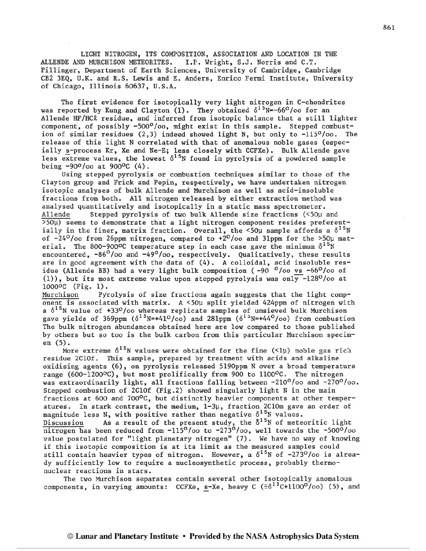LIGHT NITROGEN, ITS COMPOSITION, ASSOCIATION AND LOCATION IN THE ALLENDE AND MURCHISON METEORITES. I.P. Wright, S.J. Norris and C.T. Pillinger, Department of Earth Sciences, University of Cambridge, Cambridge CB2 3EQ, U.K. and R.S. Lewis and E. Anders, Enrico Fermi Institute, University of Chicago, Illinois 60637, U.S.A.

The first evidence for isotopically very light nitrogen in C-chondrites was reported by Kung and Clayton (1). They obtained  $\delta^{15}$ N=-66<sup>0</sup>/oo for an Allende HF/HCR residue, and inferred from isotopic balance that a still lighter component, of possibly -500°/oo, might exist in this sample. Stepped combustion of similar residues  $(2,3)$  indeed showed light N, but only to  $-115^{\circ}/\infty$ . The release of this light N correlated with that of anomalous noble gases (especially s-process Kr, Xe and Ne-E; less closely with CCFXe). Bulk Allende gave less extreme values, the lowest  $\delta^{1.5}$ N found in pyrolysis of a powdered sample being  $-90^{\circ}/\infty$  at  $900^{\circ}$ C (4).

Using stepped pyrolysis or combustion techniques similar to those of the Clayton group and Frick and Pepin, respectively, we have undertaken nitrogen isotopic analyses of bulk Allende and Murchison as well as acid-insoluble fractions from both. All nitrogen released by either extraction method was analysed quantitatively and isotopically in a static mass spectrometer. Allende Stepped pyrolysis of two bulk Allende size fracticns (<50p and  $>50\mu$ ) seems to demonstrate that a light nitrogen component resides preferentially in the finer, matrix fraction. Overall, the <50 $\mu$  sample affords a  $\delta^{1.5}$ N of  $-24^{\circ}/\infty$  from 26ppm nitrogen, compared to  $+2^{\circ}/\infty$  and 31ppm for the >50u material. The 800-900°C temperature step in each case gave the minimum  $\delta^{1.5}N$ encountered,  $-86^{\circ}/\infty$  and  $-49^{\circ}/\infty$ , respectively. Qualitatively, these results are in good agreement with the data of (4). A colloidal, acid insoluble residue (Allende BB) had a very light bulk composition ( $-90$   $^{0}/$ oo vs  $-66^{0}/$ oo of (1)), but its most extreme value upon stepped pyrolysis was only  $-128^{\circ}/\mathrm{oo}$  at lOOOoC (Fig. 1) .

Murchison Pyrolysis of size fractions again suggests that the light component is associated with matrix. A <50µ split yielded 424ppm of nitrogen with a  $\delta^{15}$ N value of +33<sup>0</sup>/00 whereas replicate samples of unsieved bulk Murchison gave yields of 369ppm  $(\delta^{15}N=+41^{\circ}/\infty)$  and 281ppm  $(\delta^{15}N=+44^{\circ}/\infty)$  from combustion The bulk nitrogen abundances obtained here are low compared to those published by others but so too is the bulk carbon from this particular Murchison specimen (5).

More extreme  $\delta^{15}$ N values were obtained for the fine (<1µ) noble gas rich residue 2C10f. This sample, prepared by treatment with acids and alkaline oxidising agents (6), on pyrolysis released 5190ppm N over a broad temperature range (600-1200°C), but most prolifically from 900 to 1100°C. The nitrogen was extraordinarily light, all fractions falling between -210°/oo and -270°/oo. Stepped combustion of 2C10f (Fig.2) showed singularly light N in the main fractions at 600 and 700°C, but distinctly heavier components at other temperatures. In stark contrast, the medium, 1-3p, fraction 2C10m gave an order of magnitude less N, with positive rather than negative  $\delta^{15}$ N values. Discussion As a result of the present study, the  $\delta^{1.5}$ N of meteoritic light nitrogen has been reduced from  $-115^{\circ}/\infty$  to  $-273^{\circ}/\infty$ , well towards the  $-500^{\circ}/\infty$ value postulated for "light planetary nitrogen" (7). we have no way of knowing if this isotopic composition is at its limit as the measured samples could still contain heavier types of nitrogen. However, a  $\delta^{15}$ N of -273<sup>0</sup>/oo is already sufficiently low to require a nucleosynthetic process, probably thermonuclear reactions in stars.

The two Murchison separates contain several other isotopically anomalous components, in varying amounts: CCFXe, s-Xe, heavy C  $(\equiv \delta^{13}C+1100^{\circ}/\infty)$  (5), and